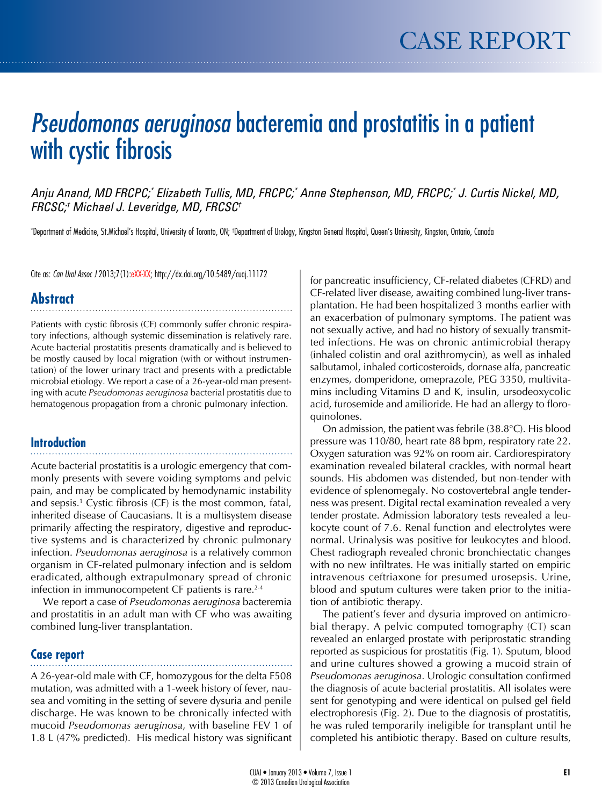# *Pseudomonas aeruginosa* bacteremia and prostatitis in a patient with cystic fibrosis

Anju Anand, MD FRCPC;\* Elizabeth Tullis, MD, FRCPC;\* Anne Stephenson, MD, FRCPC;\* J. Curtis Nickel, MD, *FRCSC;† Michael J. Leveridge, MD, FRCSC†*

\*Department of Medicine, St.Michael's Hospital, University of Toronto, ON; †Department of Urology, Kingston General Hospital, Queen's University, Kingston, Ontario, Canada

Cite as: *Can Urol Assoc J* 2013;7(1):eXX-XX; http://dx.doi.org/10.5489/cuaj.11172

# **Abstract**

Patients with cystic fibrosis (CF) commonly suffer chronic respiratory infections, although systemic dissemination is relatively rare. Acute bacterial prostatitis presents dramatically and is believed to be mostly caused by local migration (with or without instrumentation) of the lower urinary tract and presents with a predictable microbial etiology. We report a case of a 26-year-old man presenting with acute *Pseudomonas aeruginosa* bacterial prostatitis due to hematogenous propagation from a chronic pulmonary infection.

## **Introduction**

Acute bacterial prostatitis is a urologic emergency that commonly presents with severe voiding symptoms and pelvic pain, and may be complicated by hemodynamic instability and sepsis.1 Cystic fibrosis (CF) is the most common, fatal, inherited disease of Caucasians. It is a multisystem disease primarily affecting the respiratory, digestive and reproductive systems and is characterized by chronic pulmonary infection. *Pseudomonas aeruginosa* is a relatively common organism in CF-related pulmonary infection and is seldom eradicated, although extrapulmonary spread of chronic infection in immunocompetent CF patients is rare.<sup>2-4</sup>

We report a case of *Pseudomonas aeruginosa* bacteremia and prostatitis in an adult man with CF who was awaiting combined lung-liver transplantation.

# **Case report**

A 26-year-old male with CF, homozygous for the delta F508 mutation, was admitted with a 1-week history of fever, nausea and vomiting in the setting of severe dysuria and penile discharge. He was known to be chronically infected with mucoid *Pseudomonas aeruginosa*, with baseline FEV 1 of 1.8 L (47% predicted). His medical history was significant

for pancreatic insufficiency, CF-related diabetes (CFRD) and CF-related liver disease, awaiting combined lung-liver transplantation. He had been hospitalized 3 months earlier with an exacerbation of pulmonary symptoms. The patient was not sexually active, and had no history of sexually transmitted infections. He was on chronic antimicrobial therapy (inhaled colistin and oral azithromycin), as well as inhaled salbutamol, inhaled corticosteroids, dornase alfa, pancreatic enzymes, domperidone, omeprazole, PEG 3350, multivitamins including Vitamins D and K, insulin, ursodeoxycolic acid, furosemide and amilioride. He had an allergy to floroquinolones.

On admission, the patient was febrile (38.8°C). His blood pressure was 110/80, heart rate 88 bpm, respiratory rate 22. Oxygen saturation was 92% on room air. Cardiorespiratory examination revealed bilateral crackles, with normal heart sounds. His abdomen was distended, but non-tender with evidence of splenomegaly. No costovertebral angle tenderness was present. Digital rectal examination revealed a very tender prostate. Admission laboratory tests revealed a leukocyte count of 7.6. Renal function and electrolytes were normal. Urinalysis was positive for leukocytes and blood. Chest radiograph revealed chronic bronchiectatic changes with no new infiltrates. He was initially started on empiric intravenous ceftriaxone for presumed urosepsis. Urine, blood and sputum cultures were taken prior to the initiation of antibiotic therapy.

The patient's fever and dysuria improved on antimicrobial therapy. A pelvic computed tomography (CT) scan revealed an enlarged prostate with periprostatic stranding reported as suspicious for prostatitis (Fig. 1). Sputum, blood and urine cultures showed a growing a mucoid strain of *Pseudomonas aeruginosa*. Urologic consultation confirmed the diagnosis of acute bacterial prostatitis. All isolates were sent for genotyping and were identical on pulsed gel field electrophoresis (Fig. 2). Due to the diagnosis of prostatitis, he was ruled temporarily ineligible for transplant until he completed his antibiotic therapy. Based on culture results,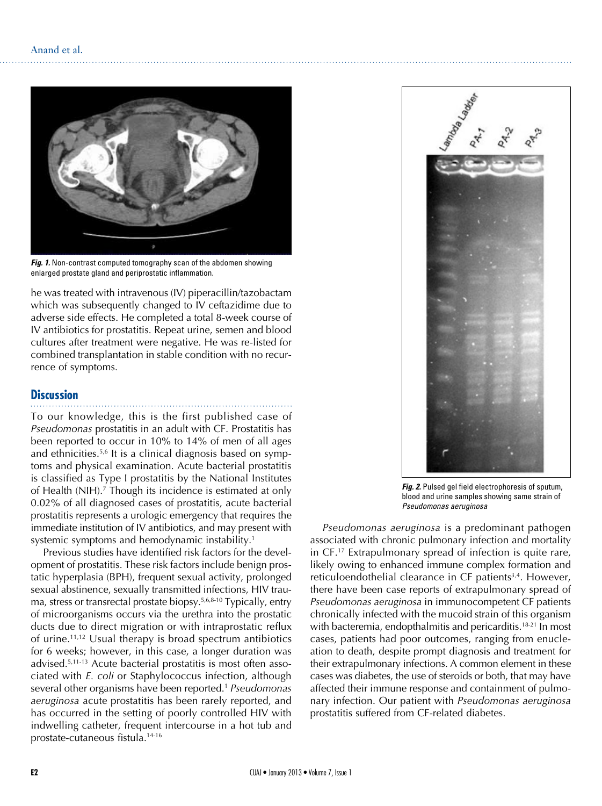

Fig. 1. Non-contrast computed tomography scan of the abdomen showing enlarged prostate gland and periprostatic inflammation.

he was treated with intravenous (IV) piperacillin/tazobactam which was subsequently changed to IV ceftazidime due to adverse side effects. He completed a total 8-week course of IV antibiotics for prostatitis. Repeat urine, semen and blood cultures after treatment were negative. He was re-listed for combined transplantation in stable condition with no recurrence of symptoms.

### **Discussion**

To our knowledge, this is the first published case of *Pseudomonas* prostatitis in an adult with CF. Prostatitis has been reported to occur in 10% to 14% of men of all ages and ethnicities.5,6 It is a clinical diagnosis based on symptoms and physical examination. Acute bacterial prostatitis is classified as Type I prostatitis by the National Institutes of Health (NIH).<sup>7</sup> Though its incidence is estimated at only 0.02% of all diagnosed cases of prostatitis, acute bacterial prostatitis represents a urologic emergency that requires the immediate institution of IV antibiotics, and may present with systemic symptoms and hemodynamic instability.<sup>1</sup>

Previous studies have identified risk factors for the development of prostatitis. These risk factors include benign prostatic hyperplasia (BPH), frequent sexual activity, prolonged sexual abstinence, sexually transmitted infections, HIV trauma, stress or transrectal prostate biopsy.5,6,8-10 Typically, entry of microorganisms occurs via the urethra into the prostatic ducts due to direct migration or with intraprostatic reflux of urine.11,12 Usual therapy is broad spectrum antibiotics for 6 weeks; however, in this case, a longer duration was advised.5,11-13 Acute bacterial prostatitis is most often associated with *E. coli* or Staphylococcus infection, although several other organisms have been reported.1 *Pseudomonas aeruginosa* acute prostatitis has been rarely reported, and has occurred in the setting of poorly controlled HIV with indwelling catheter, frequent intercourse in a hot tub and prostate-cutaneous fistula.14-16



*Fig. 2.* Pulsed gel field electrophoresis of sputum, blood and urine samples showing same strain of *Pseudomonas aeruginosa*

*Pseudomonas aeruginosa* is a predominant pathogen associated with chronic pulmonary infection and mortality in CF.17 Extrapulmonary spread of infection is quite rare, likely owing to enhanced immune complex formation and reticuloendothelial clearance in CF patients<sup>3,4</sup>. However, there have been case reports of extrapulmonary spread of *Pseudomonas aeruginosa* in immunocompetent CF patients chronically infected with the mucoid strain of this organism with bacteremia, endopthalmitis and pericarditis.<sup>18-21</sup> In most cases, patients had poor outcomes, ranging from enucleation to death, despite prompt diagnosis and treatment for their extrapulmonary infections. A common element in these cases was diabetes, the use of steroids or both, that may have affected their immune response and containment of pulmonary infection. Our patient with *Pseudomonas aeruginosa* prostatitis suffered from CF-related diabetes.